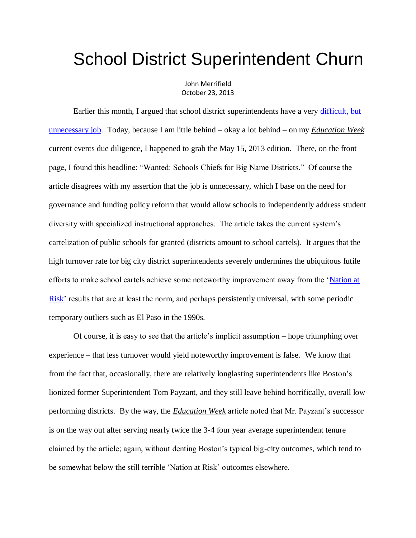## School District Superintendent Churn

John Merrifield October 23, 2013

Earlier this month, I argued that school district superintendents have a very [difficult, but](http://www.schoolsystemreformstudies.net/wp-content/uploads/2016/11/School-District-Superintendent.pdf)  [unnecessary job.](http://www.schoolsystemreformstudies.net/wp-content/uploads/2016/11/School-District-Superintendent.pdf) Today, because I am little behind – okay a lot behind – on my *Education Week* current events due diligence, I happened to grab the May 15, 2013 edition. There, on the front page, I found this headline: "Wanted: Schools Chiefs for Big Name Districts." Of course the article disagrees with my assertion that the job is unnecessary, which I base on the need for governance and funding policy reform that would allow schools to independently address student diversity with specialized instructional approaches. The article takes the current system's cartelization of public schools for granted (districts amount to school cartels). It argues that the high turnover rate for big city district superintendents severely undermines the ubiquitous futile efforts to make school cartels achieve some noteworthy improvement away from the 'Nation at [Risk'](http://www.schoolsystemreformstudies.net/wp-content/uploads/2016/10/Nation-at-Risk-Declarations.pdf) results that are at least the norm, and perhaps persistently universal, with some periodic temporary outliers such as El Paso in the 1990s.

Of course, it is easy to see that the article's implicit assumption – hope triumphing over experience – that less turnover would yield noteworthy improvement is false. We know that from the fact that, occasionally, there are relatively longlasting superintendents like Boston's lionized former Superintendent Tom Payzant, and they still leave behind horrifically, overall low performing districts. By the way, the *Education Week* article noted that Mr. Payzant's successor is on the way out after serving nearly twice the 3-4 four year average superintendent tenure claimed by the article; again, without denting Boston's typical big-city outcomes, which tend to be somewhat below the still terrible 'Nation at Risk' outcomes elsewhere.